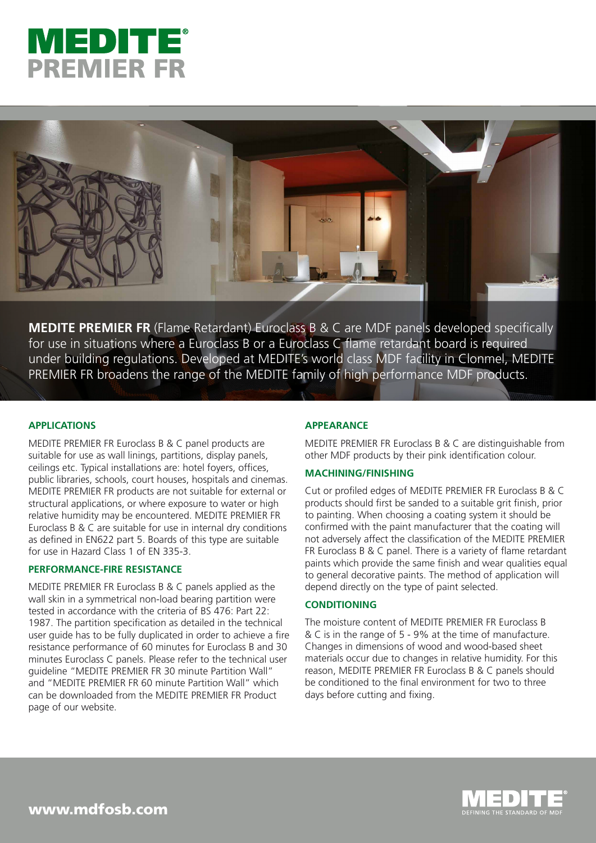



**MEDITE PREMIER FR** (Flame Retardant) Euroclass B & C are MDF panels developed specifically for use in situations where a Euroclass B or a Euroclass C flame retardant board is required under building regulations. Developed at MEDITE's world class MDF facility in Clonmel, MEDITE PREMIER FR broadens the range of the MEDITE family of high performance MDF products.

## **APPLICATIONS**

MEDITE PREMIER FR Euroclass B & C panel products are suitable for use as wall linings, partitions, display panels, ceilings etc. Typical installations are: hotel foyers, offices, public libraries, schools, court houses, hospitals and cinemas. MEDITE PREMIER FR products are not suitable for external or structural applications, or where exposure to water or high relative humidity may be encountered. MEDITE PREMIER FR Euroclass B & C are suitable for use in internal dry conditions as defined in EN622 part 5. Boards of this type are suitable for use in Hazard Class 1 of EN 335-3.

## **PERFORMANCE-FIRE RESISTANCE**

MEDITE PREMIER FR Euroclass B & C panels applied as the wall skin in a symmetrical non-load bearing partition were tested in accordance with the criteria of BS 476: Part 22: 1987. The partition specification as detailed in the technical user guide has to be fully duplicated in order to achieve a fire resistance performance of 60 minutes for Euroclass B and 30 minutes Euroclass C panels. Please refer to the technical user guideline "MEDITE PREMIER FR 30 minute Partition Wall" and "MEDITE PREMIER FR 60 minute Partition Wall" which can be downloaded from the MEDITE PREMIER FR Product page of our website.

## **APPEARANCE**

MEDITE PREMIER FR Euroclass B & C are distinguishable from other MDF products by their pink identification colour.

## **MACHINING/FINISHING**

Cut or profiled edges of MEDITE PREMIER FR Euroclass B & C products should first be sanded to a suitable grit finish, prior to painting. When choosing a coating system it should be confirmed with the paint manufacturer that the coating will not adversely affect the classification of the MEDITE PREMIER FR Euroclass B & C panel. There is a variety of flame retardant paints which provide the same finish and wear qualities equal to general decorative paints. The method of application will depend directly on the type of paint selected.

## **CONDITIONING**

The moisture content of MEDITE PREMIER FR Euroclass B & C is in the range of 5 - 9% at the time of manufacture. Changes in dimensions of wood and wood-based sheet materials occur due to changes in relative humidity. For this reason, MEDITE PREMIER FR Euroclass B & C panels should be conditioned to the final environment for two to three days before cutting and fixing.